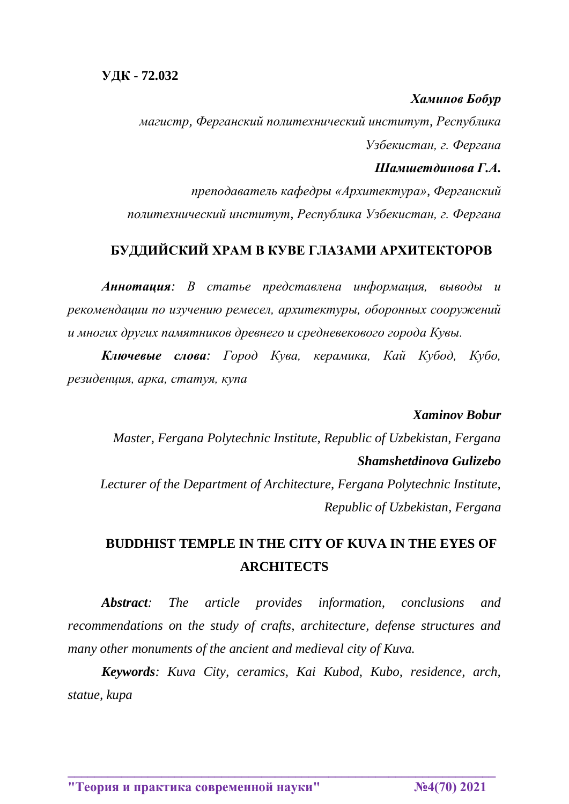### *Хаминов Бобур*

*магистр, Ферганский политехнический институт, Республика Узбекистан, г. Фергана*

#### *Шамшетдинова Г.А.*

*преподаватель кафедры «Архитектура», Ферганский политехнический институт, Республика Узбекистан, г. Фергана*

## **БУДДИЙСКИЙ ХРАМ В КУВЕ ГЛАЗАМИ АРХИТЕКТОРОВ**

*Аннотация: В статье представлена информация, выводы и рекомендации по изучению ремесел, архитектуры, оборонных сооружений и многих других памятников древнего и средневекового города Кувы.*

*Ключевые слова: Город Кува, керамика, Кай Кубод, Кубо, резиденция, арка, статуя, купа*

### *Xaminov Bobur*

*Master, Fergana Polytechnic Institute, Republic of Uzbekistan, Fergana Shamshetdinova Gulizebo*

*Lecturer of the Department of Architecture, Fergana Polytechnic Institute, Republic of Uzbekistan, Fergana*

# **BUDDHIST TEMPLE IN THE CITY OF KUVA IN THE EYES OF ARCHITECTS**

*Abstract: The article provides information, conclusions and recommendations on the study of crafts, architecture, defense structures and many other monuments of the ancient and medieval city of Kuva.*

*Keywords: Kuva City, ceramics, Kai Kubod, Kubo, residence, arch, statue, kupa*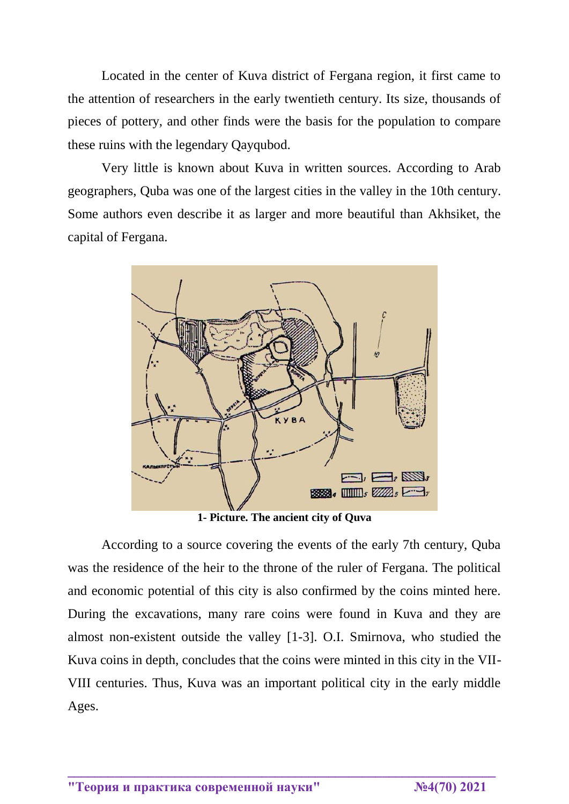Located in the center of Kuva district of Fergana region, it first came to the attention of researchers in the early twentieth century. Its size, thousands of pieces of pottery, and other finds were the basis for the population to compare these ruins with the legendary Qayqubod.

Very little is known about Kuva in written sources. According to Arab geographers, Quba was one of the largest cities in the valley in the 10th century. Some authors even describe it as larger and more beautiful than Akhsiket, the capital of Fergana.



**1- Picture. The ancient city of Quva**

According to a source covering the events of the early 7th century, Quba was the residence of the heir to the throne of the ruler of Fergana. The political and economic potential of this city is also confirmed by the coins minted here. During the excavations, many rare coins were found in Kuva and they are almost non-existent outside the valley [1-3]. O.I. Smirnova, who studied the Kuva coins in depth, concludes that the coins were minted in this city in the VII-VIII centuries. Thus, Kuva was an important political city in the early middle Ages.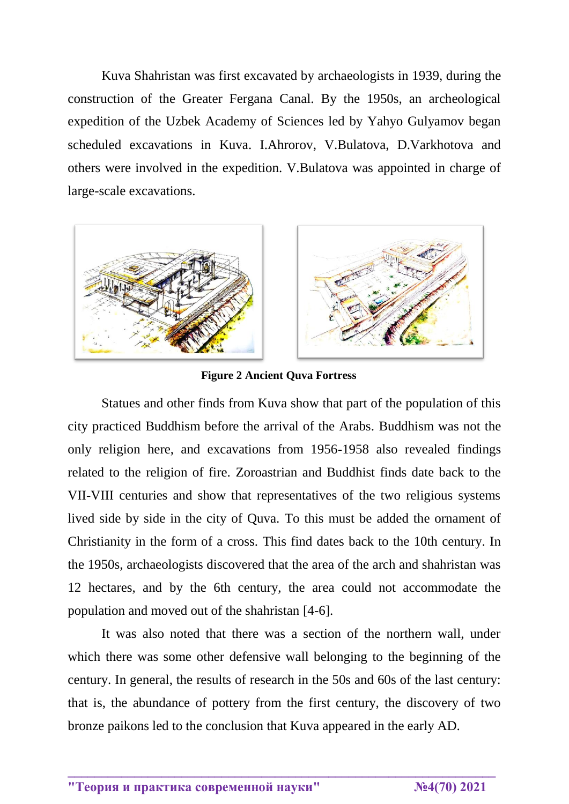Kuva Shahristan was first excavated by archaeologists in 1939, during the construction of the Greater Fergana Canal. By the 1950s, an archeological expedition of the Uzbek Academy of Sciences led by Yahyo Gulyamov began scheduled excavations in Kuva. I.Ahrorov, V.Bulatova, D.Varkhotova and others were involved in the expedition. V.Bulatova was appointed in charge of large-scale excavations.



**Figure 2 Ancient Quva Fortress**

Statues and other finds from Kuva show that part of the population of this city practiced Buddhism before the arrival of the Arabs. Buddhism was not the only religion here, and excavations from 1956-1958 also revealed findings related to the religion of fire. Zoroastrian and Buddhist finds date back to the VII-VIII centuries and show that representatives of the two religious systems lived side by side in the city of Quva. To this must be added the ornament of Christianity in the form of a cross. This find dates back to the 10th century. In the 1950s, archaeologists discovered that the area of the arch and shahristan was 12 hectares, and by the 6th century, the area could not accommodate the population and moved out of the shahristan [4-6].

It was also noted that there was a section of the northern wall, under which there was some other defensive wall belonging to the beginning of the century. In general, the results of research in the 50s and 60s of the last century: that is, the abundance of pottery from the first century, the discovery of two bronze paikons led to the conclusion that Kuva appeared in the early AD.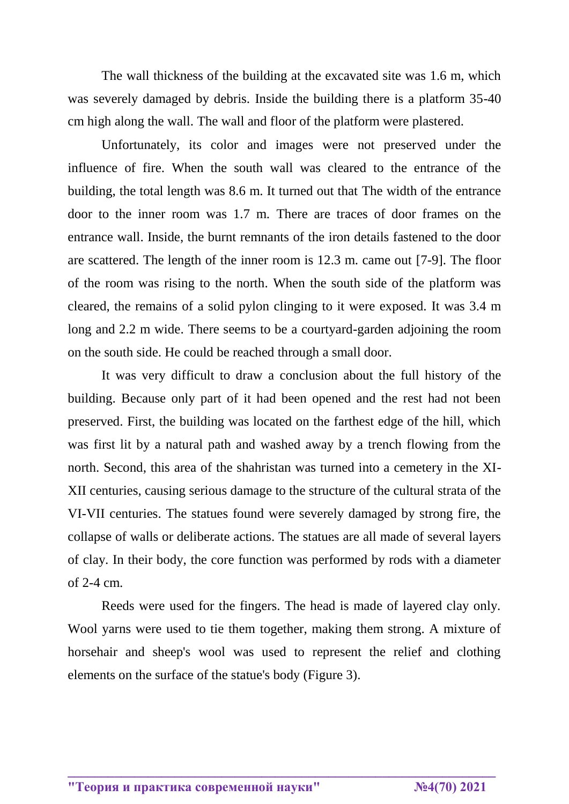The wall thickness of the building at the excavated site was 1.6 m, which was severely damaged by debris. Inside the building there is a platform 35-40 cm high along the wall. The wall and floor of the platform were plastered.

Unfortunately, its color and images were not preserved under the influence of fire. When the south wall was cleared to the entrance of the building, the total length was 8.6 m. It turned out that The width of the entrance door to the inner room was 1.7 m. There are traces of door frames on the entrance wall. Inside, the burnt remnants of the iron details fastened to the door are scattered. The length of the inner room is 12.3 m. came out [7-9]. The floor of the room was rising to the north. When the south side of the platform was cleared, the remains of a solid pylon clinging to it were exposed. It was 3.4 m long and 2.2 m wide. There seems to be a courtyard-garden adjoining the room on the south side. He could be reached through a small door.

It was very difficult to draw a conclusion about the full history of the building. Because only part of it had been opened and the rest had not been preserved. First, the building was located on the farthest edge of the hill, which was first lit by a natural path and washed away by a trench flowing from the north. Second, this area of the shahristan was turned into a cemetery in the XI-XII centuries, causing serious damage to the structure of the cultural strata of the VI-VII centuries. The statues found were severely damaged by strong fire, the collapse of walls or deliberate actions. The statues are all made of several layers of clay. In their body, the core function was performed by rods with a diameter of 2-4 cm.

Reeds were used for the fingers. The head is made of layered clay only. Wool yarns were used to tie them together, making them strong. A mixture of horsehair and sheep's wool was used to represent the relief and clothing elements on the surface of the statue's body (Figure 3).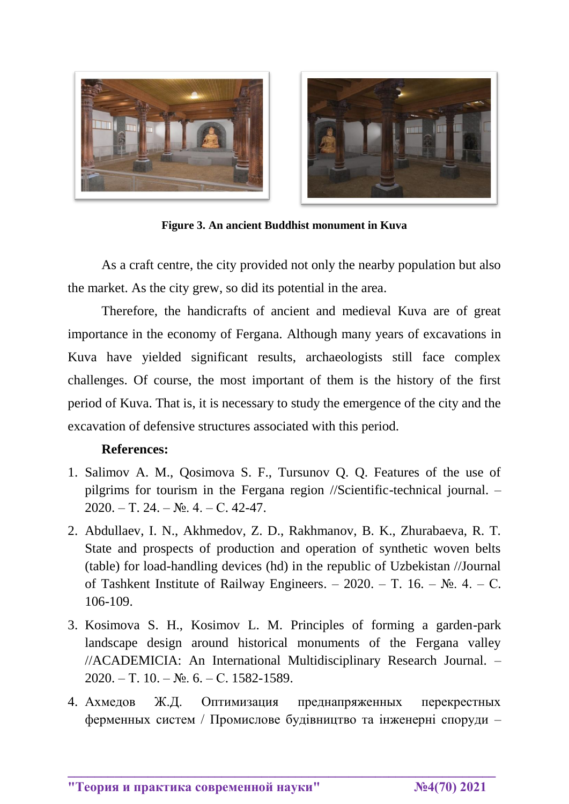



**Figure 3. An ancient Buddhist monument in Kuva**

As a craft centre, the city provided not only the nearby population but also the market. As the city grew, so did its potential in the area.

Therefore, the handicrafts of ancient and medieval Kuva are of great importance in the economy of Fergana. Although many years of excavations in Kuva have yielded significant results, archaeologists still face complex challenges. Of course, the most important of them is the history of the first period of Kuva. That is, it is necessary to study the emergence of the city and the excavation of defensive structures associated with this period.

#### **References:**

- 1. Salimov A. M., Qosimova S. F., Tursunov Q. Q. Features of the use of pilgrims for tourism in the Fergana region //Scientific-technical journal. –  $2020. - T. 24. - N_2. 4. - C. 42-47.$
- 2. Abdullaev, I. N., Akhmedov, Z. D., Rakhmanov, B. K., Zhurabaeva, R. T. State and prospects of production and operation of synthetic woven belts (table) for load-handling devices (hd) in the republic of Uzbekistan //Journal of Tashkent Institute of Railway Engineers. – 2020. – T. 16. –  $\mathbb{N}_2$ . 4. – C. 106-109.
- 3. Kosimova S. H., Kosimov L. M. Principles of forming a garden-park landscape design around historical monuments of the Fergana valley //ACADEMICIA: An International Multidisciplinary Research Journal. –  $2020. - T. 10. - N_2 6. - C. 1582 - 1589.$
- 4. Ахмедов Ж.Д. Оптимизация преднапряженных перекрестных ферменных систем / Промислове будівництво та інженерні споруди –